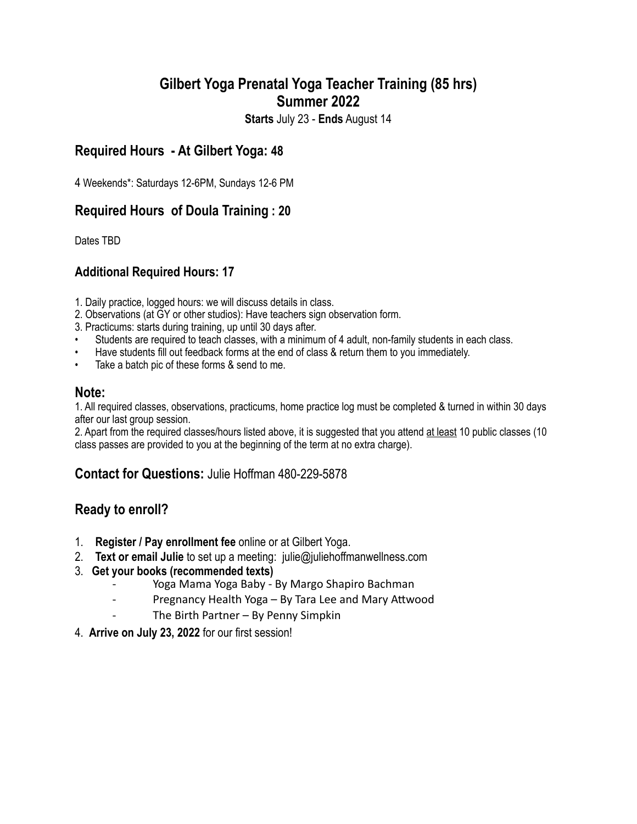# **Gilbert Yoga Prenatal Yoga Teacher Training (85 hrs) Summer 2022**

**Starts** July 23 - **Ends** August 14

# **Required Hours - At Gilbert Yoga: 48**

4 Weekends\*: Saturdays 12-6PM, Sundays 12-6 PM

## **Required Hours of Doula Training : 20**

Dates TBD

## **Additional Required Hours: 17**

1. Daily practice, logged hours: we will discuss details in class.

- 2. Observations (at GY or other studios): Have teachers sign observation form.
- 3. Practicums: starts during training, up until 30 days after.
- Students are required to teach classes, with a minimum of 4 adult, non-family students in each class.
- Have students fill out feedback forms at the end of class & return them to you immediately.
- Take a batch pic of these forms & send to me.

#### **Note:**

1. All required classes, observations, practicums, home practice log must be completed & turned in within 30 days after our last group session.

2. Apart from the required classes/hours listed above, it is suggested that you attend at least 10 public classes (10 class passes are provided to you at the beginning of the term at no extra charge).

## **Contact for Questions:** Julie Hoffman 480-229-5878

## **Ready to enroll?**

- 1. **Register / Pay enrollment fee** online or at Gilbert Yoga.
- 2. **Text or email Julie** to set up a meeting: julie@juliehoffmanwellness.com
- 3. **Get your books (recommended texts)**
	- Yoga Mama Yoga Baby By Margo Shapiro Bachman
	- Pregnancy Health Yoga By Tara Lee and Mary Attwood
	- The Birth Partner By Penny Simpkin
- 4. **Arrive on July 23, 2022** for our first session!